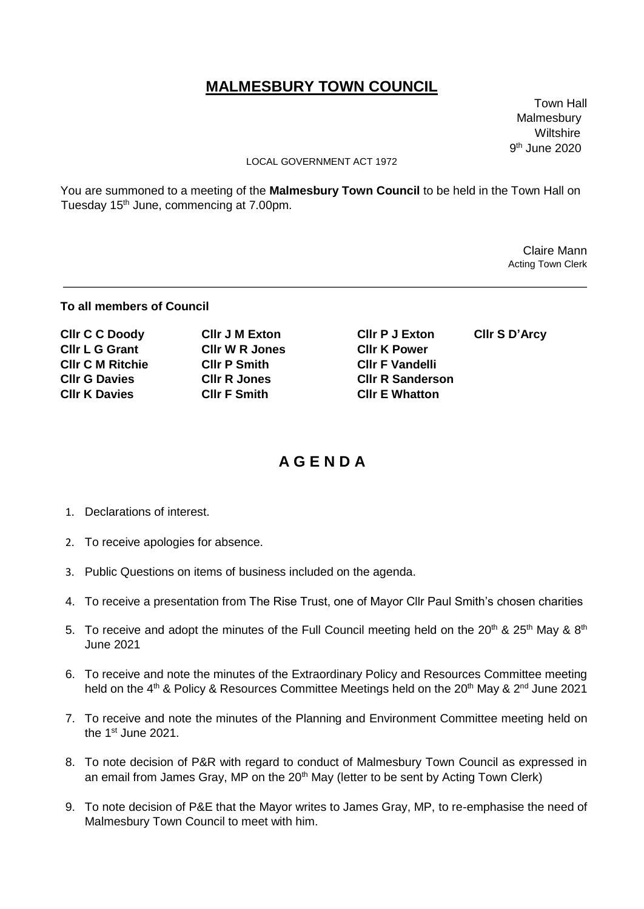## **MALMESBURY TOWN COUNCIL**

 Town Hall Malmesbury wiltshire when the contract of the contract of the contract of the contract of the contract of the contract of 9  $9<sup>th</sup>$  June 2020

## LOCAL GOVERNMENT ACT 1972

You are summoned to a meeting of the **Malmesbury Town Council** to be held in the Town Hall on Tuesday 15<sup>th</sup> June, commencing at 7.00pm.

 Claire Mann Acting Town Clerk

## **To all members of Council**

| <b>CIIr C C Doody</b>   | <b>CIIr J M Exton</b> | <b>CIIr P J Exton</b>   | CIIr S D'Arcy |
|-------------------------|-----------------------|-------------------------|---------------|
| <b>CIIr L G Grant</b>   | <b>CIIr W R Jones</b> | <b>CIIr K Power</b>     |               |
| <b>CIIr C M Ritchie</b> | <b>CIIr P Smith</b>   | <b>CIIr F Vandelli</b>  |               |
| <b>CIIr G Davies</b>    | <b>CIIr R Jones</b>   | <b>CIIr R Sanderson</b> |               |
| <b>CIIr K Davies</b>    | <b>CIIr F Smith</b>   | <b>CIIr E Whatton</b>   |               |

## **A G E N D A**

- 1. Declarations of interest.
- 2. To receive apologies for absence.
- 3. Public Questions on items of business included on the agenda.
- 4. To receive a presentation from The Rise Trust, one of Mayor Cllr Paul Smith's chosen charities
- 5. To receive and adopt the minutes of the Full Council meeting held on the  $20^{th}$  &  $25^{th}$  May &  $8^{th}$ June 2021
- 6. To receive and note the minutes of the Extraordinary Policy and Resources Committee meeting held on the 4<sup>th</sup> & Policy & Resources Committee Meetings held on the 20<sup>th</sup> May & 2<sup>nd</sup> June 2021
- 7. To receive and note the minutes of the Planning and Environment Committee meeting held on the 1<sup>st</sup> June 2021.
- 8. To note decision of P&R with regard to conduct of Malmesbury Town Council as expressed in an email from James Gray, MP on the 20<sup>th</sup> May (letter to be sent by Acting Town Clerk)
- 9. To note decision of P&E that the Mayor writes to James Gray, MP, to re-emphasise the need of Malmesbury Town Council to meet with him.